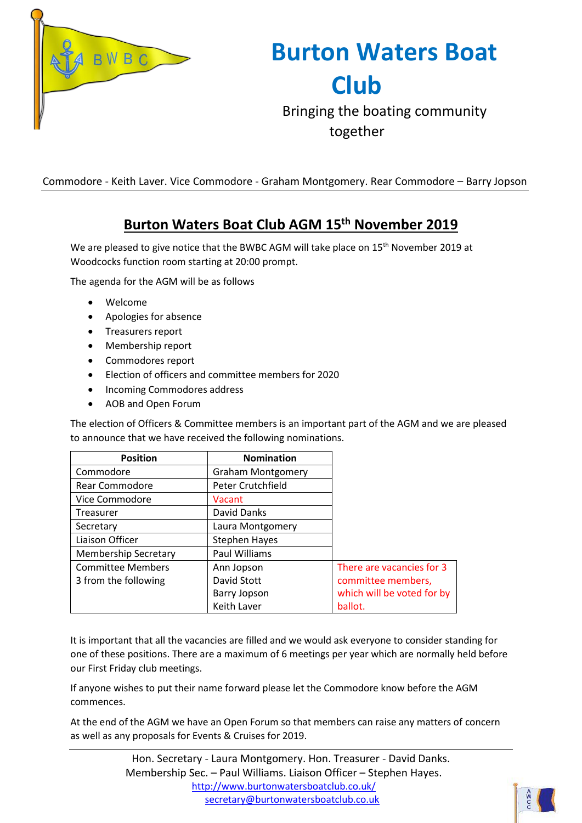

**Burton Waters Boat Club**

Bringing the boating community together

Commodore - Keith Laver. Vice Commodore - Graham Montgomery. Rear Commodore – Barry Jopson

## **Burton Waters Boat Club AGM 15 th November 2019**

We are pleased to give notice that the BWBC AGM will take place on 15<sup>th</sup> November 2019 at Woodcocks function room starting at 20:00 prompt.

The agenda for the AGM will be as follows

- Welcome
- Apologies for absence
- Treasurers report
- Membership report
- Commodores report
- Election of officers and committee members for 2020
- Incoming Commodores address
- AOB and Open Forum

The election of Officers & Committee members is an important part of the AGM and we are pleased to announce that we have received the following nominations.

| <b>Position</b>             | <b>Nomination</b>        |                            |
|-----------------------------|--------------------------|----------------------------|
| Commodore                   | <b>Graham Montgomery</b> |                            |
| <b>Rear Commodore</b>       | Peter Crutchfield        |                            |
| Vice Commodore              | Vacant                   |                            |
| <b>Treasurer</b>            | David Danks              |                            |
| Secretary                   | Laura Montgomery         |                            |
| Liaison Officer             | <b>Stephen Hayes</b>     |                            |
| <b>Membership Secretary</b> | Paul Williams            |                            |
| <b>Committee Members</b>    | Ann Jopson               | There are vacancies for 3  |
| 3 from the following        | David Stott              | committee members,         |
|                             | <b>Barry Jopson</b>      | which will be voted for by |
|                             | Keith Laver              | ballot.                    |

It is important that all the vacancies are filled and we would ask everyone to consider standing for one of these positions. There are a maximum of 6 meetings per year which are normally held before our First Friday club meetings.

If anyone wishes to put their name forward please let the Commodore know before the AGM commences.

At the end of the AGM we have an Open Forum so that members can raise any matters of concern as well as any proposals for Events & Cruises for 2019.

> Hon. Secretary - Laura Montgomery. Hon. Treasurer - David Danks. Membership Sec. – Paul Williams. Liaison Officer – Stephen Hayes. <http://www.burtonwatersboatclub.co.uk/> [secretary@burtonwatersboatclub.co.uk](mailto:membership@burtonwatersboatclub.co.uk)